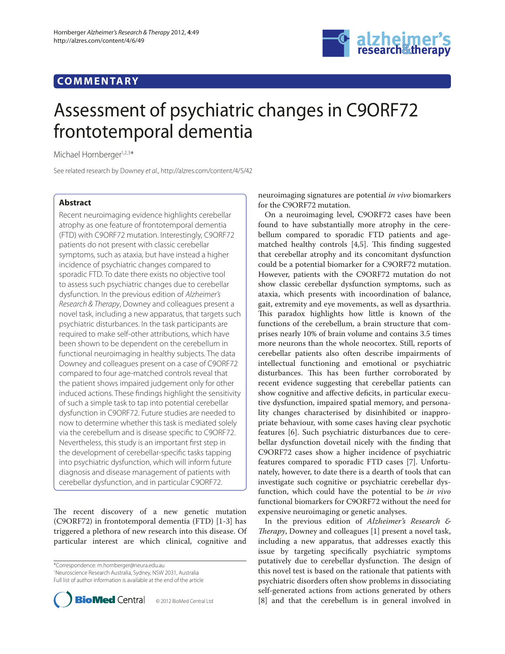# **COMMENTARY**



# Assessment of psychiatric changes in C9ORF72 frontotemporal dementia

Michael Hornberger<sup>1,2,3\*</sup>

See related research by Downey et al., http://alzres.com/content/4/5/42

## **Abstract**

Recent neuroimaging evidence highlights cerebellar atrophy as one feature of frontotemporal dementia (FTD) with C9ORF72 mutation. Interestingly, C9ORF72 patients do not present with classic cerebellar symptoms, such as ataxia, but have instead a higher incidence of psychiatric changes compared to sporadic FTD. To date there exists no objective tool to assess such psychiatric changes due to cerebellar dysfunction. In the previous edition of Alzheimer's Research & Therapy, Downey and colleagues present a novel task, including a new apparatus, that targets such psychiatric disturbances. In the task participants are required to make self-other attributions, which have been shown to be dependent on the cerebellum in functional neuroimaging in healthy subjects. The data Downey and colleagues present on a case of C9ORF72 compared to four age-matched controls reveal that the patient shows impaired judgement only for other induced actions. These findings highlight the sensitivity of such a simple task to tap into potential cerebellar dysfunction in C9ORF72. Future studies are needed to now to determine whether this task is mediated solely via the cerebellum and is disease specific to C9ORF72. Nevertheless, this study is an important first step in the development of cerebellar-specific tasks tapping into psychiatric dysfunction, which will inform future diagnosis and disease management of patients with cerebellar dysfunction, and in particular C9ORF72.

The recent discovery of a new genetic mutation (C9ORF72) in frontotemporal dementia (FTD) [1-3] has triggered a plethora of new research into this disease. Of particular interest are which clinical, cognitive and

\*Correspondence: m.hornberger@neura.edu.au 1 Neuroscience Research Australia, Sydney, NSW 2031, Australia Full list of author information is available at the end of the article



neuroimaging signatures are potential *in vivo* biomarkers for the C9ORF72 mutation.

On a neuroimaging level, C9ORF72 cases have been found to have substantially more atrophy in the cerebellum compared to sporadic FTD patients and agematched healthy controls [4,5]. This finding suggested that cerebellar atrophy and its concomitant dysfunction could be a potential biomarker for a C9ORF72 mutation. However, patients with the C9ORF72 mutation do not show classic cerebellar dysfunction symptoms, such as ataxia, which presents with incoordination of balance, gait, extremity and eye movements, as well as dysarthria. This paradox highlights how little is known of the functions of the cerebellum, a brain structure that comprises nearly 10% of brain volume and contains 3.5 times more neurons than the whole neocortex. Still, reports of cerebellar patients also often describe impairments of intellectual functioning and emotional or psychiatric disturbances. This has been further corroborated by recent evidence suggesting that cerebellar patients can show cognitive and affective deficits, in particular executive dysfunction, impaired spatial memory, and personality changes characterised by disinhibited or inappropriate behaviour, with some cases having clear psychotic features [6]. Such psychiatric disturbances due to cerebellar dysfunction dovetail nicely with the finding that C9ORF72 cases show a higher incidence of psychiatric features compared to sporadic FTD cases [7]. Unfortunately, however, to date there is a dearth of tools that can investigate such cognitive or psychiatric cerebellar dysfunction, which could have the potential to be *in vivo* functional biomarkers for C9ORF72 without the need for expensive neuroimaging or genetic analyses.

In the previous edition of *Alzheimer's Research & Therapy*, Downey and colleagues [1] present a novel task, including a new apparatus, that addresses exactly this issue by targeting specifically psychiatric symptoms putatively due to cerebellar dysfunction. The design of this novel test is based on the rationale that patients with psychiatric disorders often show problems in dissociating self-generated actions from actions generated by others [8] and that the cerebellum is in general involved in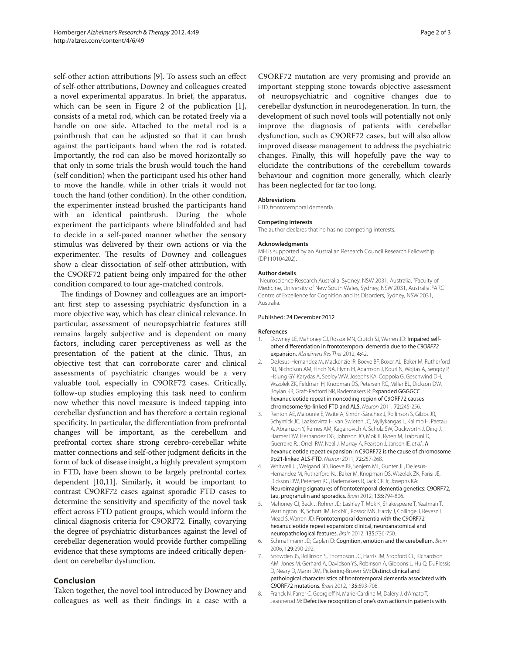self-other action attributions [9]. To assess such an effect of self-other attributions, Downey and colleagues created a novel experimental apparatus. In brief, the apparatus, which can be seen in Figure 2 of the publication  $[1]$ , consists of a metal rod, which can be rotated freely via a handle on one side. Attached to the metal rod is a paintbrush that can be adjusted so that it can brush against the participants hand when the rod is rotated. Importantly, the rod can also be moved horizontally so that only in some trials the brush would touch the hand (self condition) when the participant used his other hand to move the handle, while in other trials it would not touch the hand (other condition). In the other condition, the experimenter instead brushed the participants hand with an identical paintbrush. During the whole experiment the participants where blindfolded and had to decide in a self-paced manner whether the sensory stimulus was delivered by their own actions or via the experimenter. The results of Downey and colleagues show a clear dissociation of self-other attribution, with the C9ORF72 patient being only impaired for the other condition compared to four age-matched controls.

The findings of Downey and colleagues are an important first step to assessing psychiatric dysfunction in a more objective way, which has clear clinical relevance. In particular, assessment of neuropsychiatric features still remains largely subjective and is dependent on many factors, including carer perceptiveness as well as the presentation of the patient at the clinic. Thus, an objective test that can corroborate carer and clinical assessments of psychiatric changes would be a very valuable tool, especially in C9ORF72 cases. Critically, follow-up studies employing this task need to confirm now whether this novel measure is indeed tapping into cerebellar dysfunction and has therefore a certain regional specificity. In particular, the differentiation from prefrontal changes will be important, as the cerebellum and prefrontal cortex share strong cerebro-cerebellar white matter connections and self-other judgment deficits in the form of lack of disease insight, a highly prevalent symptom in FTD, have been shown to be largely prefrontal cortex dependent [10,11]. Similarly, it would be important to contrast C9ORF72 cases against sporadic FTD cases to determine the sensitivity and specificity of the novel task effect across FTD patient groups, which would inform the clinical diagnosis criteria for C9ORF72. Finally, covarying the degree of psychiatric disturbances against the level of cerebellar degeneration would provide further compelling evidence that these symptoms are indeed critically dependent on cerebellar dysfunction.

### **Conclusion**

Taken together, the novel tool introduced by Downey and colleagues as well as their findings in a case with a

C9ORF72 mutation are very promising and provide an important stepping stone towards objective assessment of neuropsychiatric and cognitive changes due to cerebellar dysfunction in neurodegeneration. In turn, the development of such novel tools will potentially not only improve the diagnosis of patients with cerebellar dysfunction, such as C9ORF72 cases, but will also allow improved disease management to address the psychiatric changes. Finally, this will hopefully pave the way to elucidate the contributions of the cerebellum towards behaviour and cognition more generally, which clearly has been neglected for far too long.

#### **Abbreviations**

FTD, frontotemporal dementia.

#### **Competing interests**

The author declares that he has no competing interests.

#### **Acknowledgments**

MH is supported by an Australian Research Council Research Fellowship (DP110104202).

#### **Author details**

<sup>1</sup>Neuroscience Research Australia, Sydney, NSW 2031, Australia. <sup>2</sup>Faculty of Medicine, University of New South Wales, Sydney, NSW 2031, Australia. <sup>3</sup>ARC Centre of Excellence for Cognition and its Disorders, Sydney, NSW 2031, Australia.

#### Published: 24 December 2012

#### **References**

- 1. Downey LE, Mahoney CJ, Rossor MN, Crutch SJ, Warren JD: Impaired selfother differentiation in frontotemporal dementia due to the C9ORF72 expansion. Alzheimers Res Ther 2012, 4:42.
- 2. DeJesus-Hernandez M, Mackenzie IR, Boeve BF, Boxer AL, Baker M, Rutherford NJ, Nicholson AM, Finch NA, Flynn H, Adamson J, Kouri N, Wojtas A, Sengdy P, Hsiung GY, Karydas A, Seeley WW, Josephs KA, Coppola G, Geschwind DH, Wszolek ZK, Feldman H, Knopman DS, Petersen RC, Miller BL, Dickson DW, Boylan KB, Graff-Radford NR, Rademakers R: Expanded GGGGCC hexanucleotide repeat in noncoding region of C9ORF72 causes chromosome 9p-linked FTD and ALS. Neuron 2011, 72:245-256.
- Renton AE, Majounie E, Waite A, Simón-Sánchez J, Rollinson S, Gibbs JR, Schymick JC, Laaksovirta H, van Swieten JC, Myllykangas L, Kalimo H, Paetau A, Abramzon Y, Remes AM, Kaganovich A, Scholz SW, Duckworth J, Ding J, Harmer DW, Hernandez DG, Johnson JO, Mok K, Ryten M, Trabzuni D, Guerreiro RJ, Orrell RW, Neal J, Murray A, Pearson J, Jansen IE, et al.: A hexanucleotide repeat expansion in C9ORF72 is the cause of chromosome 9p21-linked ALS-FTD. Neuron 2011, 72:257-268.
- 4. Whitwell JL, Weigand SD, Boeve BF, Senjem ML, Gunter JL, DeJesus-Hernandez M, Rutherford NJ, Baker M, Knopman DS, Wszolek ZK, Parisi JE, Dickson DW, Petersen RC, Rademakers R, Jack CR Jr, Josephs KA: Neuroimaging signatures of frontotemporal dementia genetics: C9ORF72, tau, progranulin and sporadics. Brain 2012, 135:794-806.
- 5. Mahoney CJ, Beck J, Rohrer JD, Lashley T, Mok K, Shakespeare T, Yeatman T, Warrington EK, Schott JM, Fox NC, Rossor MN, Hardy J, Collinge J, Revesz T, Mead S, Warren JD: Frontotemporal dementia with the C9ORF72 hexanucleotide repeat expansion: clinical, neuroanatomical and neuropathological features. Brain 2012, 135:736-750.
- 6. Schmahmann JD, Caplan D: Cognition, emotion and the cerebellum. Brain 2006, 129:290-292.
- 7. Snowden JS, Rollinson S, Thompson JC, Harris JM, Stopford CL, Richardson AM, Jones M, Gerhard A, Davidson YS, Robinson A, Gibbons L, Hu Q, DuPlessis D, Neary D, Mann DM, Pickering-Brown SM: Distinct clinical and pathological characteristics of frontotemporal dementia associated with C9ORF72 mutations. Brain 2012, 135:693-708.
- 8. Franck N, Farrer C, Georgieff N, Marie-Cardine M, Daléry J, d'Amato T, Jeannerod M: Defective recognition of one's own actions in patients with